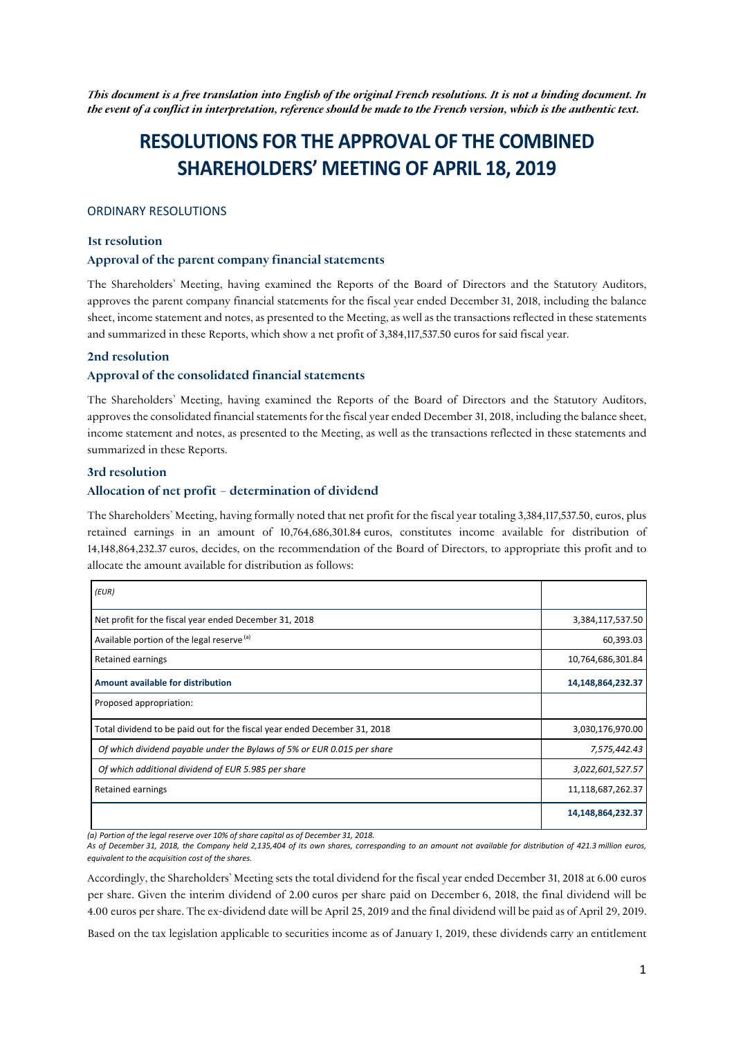*This document is a free translation into English of the original French resolutions. It is not a binding document. In the event of a conflict in interpretation, reference should be made to the French version, which is the authentic text.* 

# **RESOLUTIONS FOR THE APPROVAL OF THE COMBINED SHAREHOLDERS' MEETING OF APRIL 18, 2019**

#### ORDINARY RESOLUTIONS

# **1st resolution**

#### **Approval of the parent company financial statements**

The Shareholders' Meeting, having examined the Reports of the Board of Directors and the Statutory Auditors, approves the parent company financial statements for the fiscal year ended December 31, 2018, including the balance sheet, income statement and notes, as presented to the Meeting, as well as the transactions reflected in these statements and summarized in these Reports, which show a net profit of 3,384,117,537.50 euros for said fiscal year.

#### **2nd resolution**

# **Approval of the consolidated financial statements**

 income statement and notes, as presented to the Meeting, as well as the transactions reflected in these statements and The Shareholders' Meeting, having examined the Reports of the Board of Directors and the Statutory Auditors, approves the consolidated financial statements for the fiscal year ended December 31, 2018, including the balance sheet, summarized in these Reports.

#### **3rd resolution**

#### **Allocation of net profit – determination of dividend**

The Shareholders' Meeting, having formally noted that net profit for the fiscal year totaling 3,384,117,537.50, euros, plus retained earnings in an amount of 10,764,686,301.84 euros, constitutes income available for distribution of 14,148,864,232.37 euros, decides, on the recommendation of the Board of Directors, to appropriate this profit and to allocate the amount available for distribution as follows:

| (EUR)                                                                     |                   |
|---------------------------------------------------------------------------|-------------------|
| Net profit for the fiscal year ended December 31, 2018                    | 3,384,117,537.50  |
| Available portion of the legal reserve (a)                                | 60,393.03         |
| Retained earnings                                                         | 10,764,686,301.84 |
| Amount available for distribution                                         | 14,148,864,232.37 |
| Proposed appropriation:                                                   |                   |
| Total dividend to be paid out for the fiscal year ended December 31, 2018 | 3,030,176,970.00  |
| Of which dividend payable under the Bylaws of 5% or EUR 0.015 per share   | 7,575,442.43      |
| Of which additional dividend of EUR 5.985 per share                       | 3,022,601,527.57  |
| Retained earnings                                                         | 11,118,687,262.37 |
|                                                                           | 14,148,864,232.37 |

(a) Portion of the legal reserve over 10% of share capital as of December 31, 2018.

As of December 31, 2018, the Company held 2,135,404 of its own shares, corresponding to an amount not available for distribution of 421.3 million euros,  *equivalent to the acquisition cost of the shares.*

Accordingly, the Shareholders' Meeting sets the total dividend for the fiscal year ended December 31, 2018 at 6.00 euros per share. Given the interim dividend of 2.00 euros per share paid on December 6, 2018, the final dividend will be 4.00 euros per share. The ex-dividend date will be April 25, 2019 and the final dividend will be paid as of April 29, 2019.

Based on the tax legislation applicable to securities income as of January 1, 2019, these dividends carry an entitlement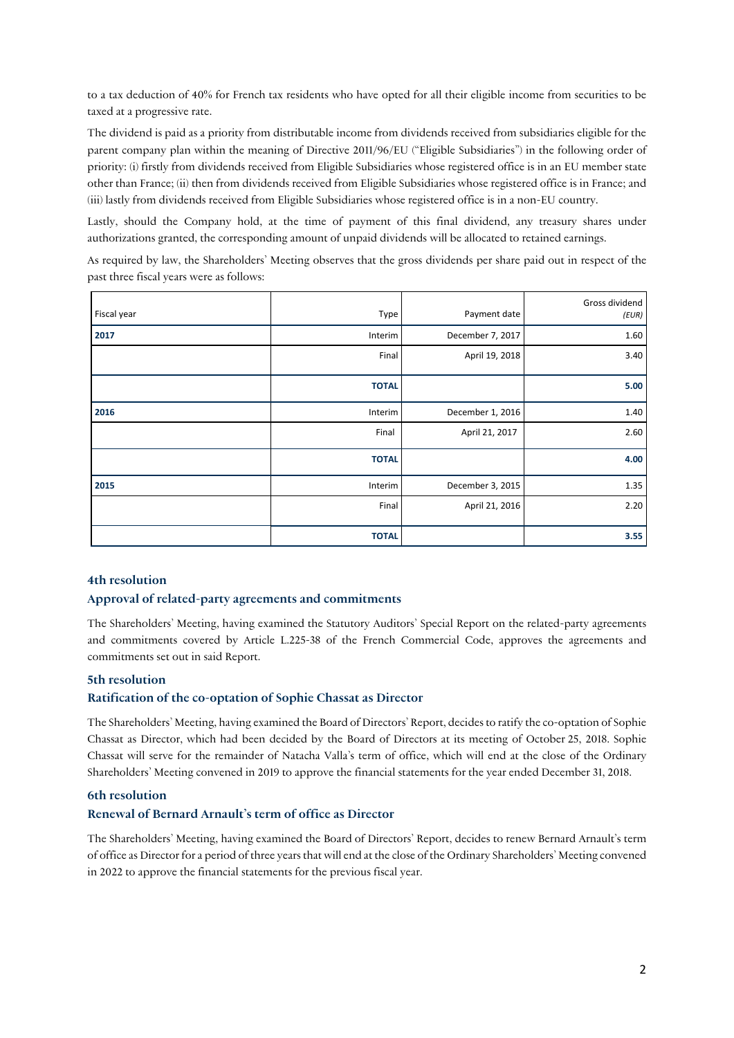to a tax deduction of 40% for French tax residents who have opted for all their eligible income from securities to be taxed at a progressive rate.

The dividend is paid as a priority from distributable income from dividends received from subsidiaries eligible for the parent company plan within the meaning of Directive 2011/96/EU ("Eligible Subsidiaries") in the following order of priority: (i) firstly from dividends received from Eligible Subsidiaries whose registered office is in an EU member state other than France; (ii) then from dividends received from Eligible Subsidiaries whose registered office is in France; and (iii) lastly from dividends received from Eligible Subsidiaries whose registered office is in a non-EU country.

 authorizations granted, the corresponding amount of unpaid dividends will be allocated to retained earnings. Lastly, should the Company hold, at the time of payment of this final dividend, any treasury shares under

 As required by law, the Shareholders' Meeting observes that the gross dividends per share paid out in respect of the past three fiscal years were as follows:

| Fiscal year | Type         | Payment date     | Gross dividend<br>(EUR) |
|-------------|--------------|------------------|-------------------------|
| 2017        | Interim      | December 7, 2017 | 1.60                    |
|             | Final        | April 19, 2018   | 3.40                    |
|             | <b>TOTAL</b> |                  | 5.00                    |
| 2016        | Interim      | December 1, 2016 | 1.40                    |
|             | Final        | April 21, 2017   | 2.60                    |
|             | <b>TOTAL</b> |                  | 4.00                    |
| 2015        | Interim      | December 3, 2015 | 1.35                    |
|             | Final        | April 21, 2016   | 2.20                    |
|             | <b>TOTAL</b> |                  | 3.55                    |

# **4th resolution**

#### **Approval of related-party agreements and commitments**

 and commitments covered by Article L.225-38 of the French Commercial Code, approves the agreements and The Shareholders' Meeting, having examined the Statutory Auditors' Special Report on the related-party agreements commitments set out in said Report.

#### **5th resolution**

#### **Ratification of the co-optation of Sophie Chassat as Director**

 Chassat will serve for the remainder of Natacha Valla's term of office, which will end at the close of the Ordinary The Shareholders' Meeting, having examined the Board of Directors' Report, decides to ratify the co-optation of Sophie Chassat as Director, which had been decided by the Board of Directors at its meeting of October 25, 2018. Sophie Shareholders' Meeting convened in 2019 to approve the financial statements for the year ended December 31, 2018.

#### **6th resolution**

#### **Renewal of Bernard Arnault's term of office as Director**

 The Shareholders' Meeting, having examined the Board of Directors' Report, decides to renew Bernard Arnault's term of office as Director for a period of three years that will end at the close of the Ordinary Shareholders' Meeting convened in 2022 to approve the financial statements for the previous fiscal year.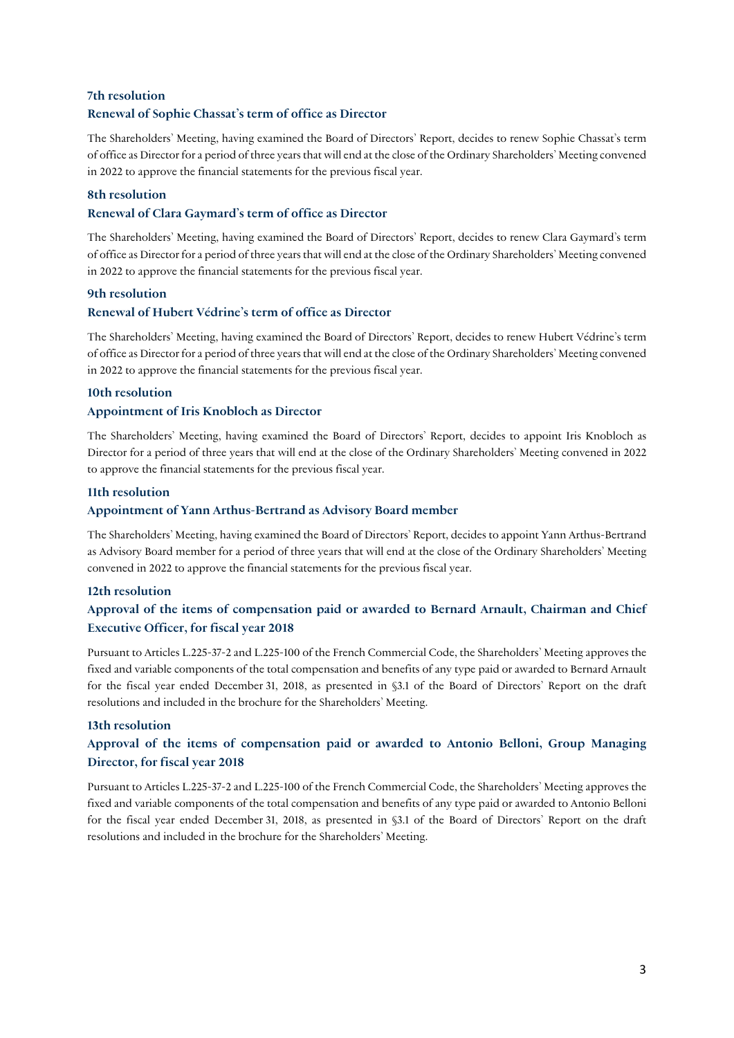# **7th resolution Renewal of Sophie Chassat's term of office as Director**

The Shareholders' Meeting, having examined the Board of Directors' Report, decides to renew Sophie Chassat's term of office as Director for a period of three years that will end at the close of the Ordinary Shareholders' Meeting convened in 2022 to approve the financial statements for the previous fiscal year.

# **8th resolution**

# **Renewal of Clara Gaymard's term of office as Director**

The Shareholders' Meeting, having examined the Board of Directors' Report, decides to renew Clara Gaymard's term of office as Director for a period of three years that will end at the close of the Ordinary Shareholders' Meeting convened in 2022 to approve the financial statements for the previous fiscal year.

## **9th resolution**

# **Renewal of Hubert Védrine's term of office as Director**

 The Shareholders' Meeting, having examined the Board of Directors' Report, decides to renew Hubert Védrine's term of office as Director for a period of three years that will end at the close of the Ordinary Shareholders' Meeting convened in 2022 to approve the financial statements for the previous fiscal year.

#### **10th resolution**

## **Appointment of Iris Knobloch as Director**

The Shareholders' Meeting, having examined the Board of Directors' Report, decides to appoint Iris Knobloch as Director for a period of three years that will end at the close of the Ordinary Shareholders' Meeting convened in 2022 to approve the financial statements for the previous fiscal year.

#### **11th resolution**

## **Appointment of Yann Arthus-Bertrand as Advisory Board member**

 The Shareholders' Meeting, having examined the Board of Directors' Report, decides to appoint Yann Arthus-Bertrand convened in 2022 to approve the financial statements for the previous fiscal year. as Advisory Board member for a period of three years that will end at the close of the Ordinary Shareholders' Meeting

#### **12th resolution**

# **Approval of the items of compensation paid or awarded to Bernard Arnault, Chairman and Chief Executive Officer, for fiscal year 2018**

Pursuant to Articles L.225-37-2 and L.225-100 of the French Commercial Code, the Shareholders' Meeting approves the fixed and variable components of the total compensation and benefits of any type paid or awarded to Bernard Arnault for the fiscal year ended December 31, 2018, as presented in §3.1 of the Board of Directors' Report on the draft resolutions and included in the brochure for the Shareholders' Meeting.

#### **13th resolution**

# **Approval of the items of compensation paid or awarded to Antonio Belloni, Group Managing Director, for fiscal year 2018**

 fixed and variable components of the total compensation and benefits of any type paid or awarded to Antonio Belloni Pursuant to Articles L.225-37-2 and L.225-100 of the French Commercial Code, the Shareholders' Meeting approves the for the fiscal year ended December 31, 2018, as presented in §3.1 of the Board of Directors' Report on the draft resolutions and included in the brochure for the Shareholders' Meeting.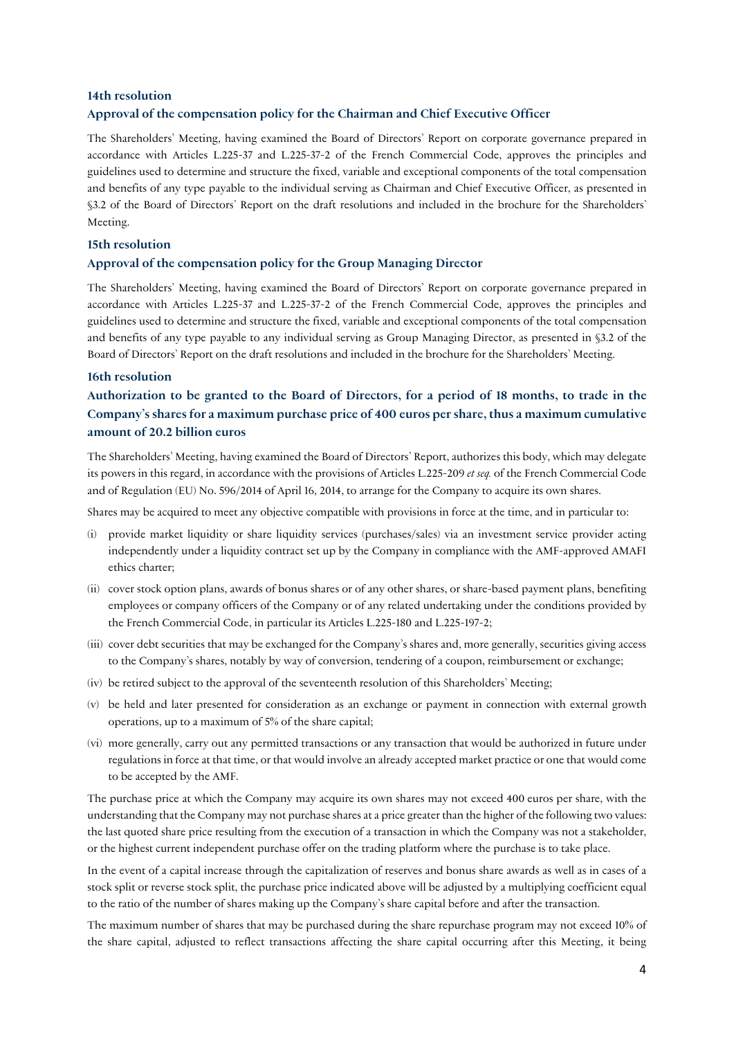### **Approval of the compensation policy for the Chairman and Chief Executive Officer**

 guidelines used to determine and structure the fixed, variable and exceptional components of the total compensation §3.2 of the Board of Directors' Report on the draft resolutions and included in the brochure for the Shareholders' The Shareholders' Meeting, having examined the Board of Directors' Report on corporate governance prepared in accordance with Articles L.225-37 and L.225-37-2 of the French Commercial Code, approves the principles and and benefits of any type payable to the individual serving as Chairman and Chief Executive Officer, as presented in Meeting.

#### **15th resolution**

#### **Approval of the compensation policy for the Group Managing Director**

 guidelines used to determine and structure the fixed, variable and exceptional components of the total compensation and benefits of any type payable to any individual serving as Group Managing Director, as presented in §3.2 of the Board of Directors' Report on the draft resolutions and included in the brochure for the Shareholders' Meeting. The Shareholders' Meeting, having examined the Board of Directors' Report on corporate governance prepared in accordance with Articles L.225-37 and L.225-37-2 of the French Commercial Code, approves the principles and

#### **16th resolution**

# **Company's shares for a maximum purchase price of 400 euros per share, thus a maximum cumulative Authorization to be granted to the Board of Directors, for a period of 18 months, to trade in the amount of 20.2 billion euros**

 its powers in this regard, in accordance with the provisions of Articles L.225-209 *et seq.* of the French Commercial Code The Shareholders' Meeting, having examined the Board of Directors' Report, authorizes this body, which may delegate and of Regulation (EU) No. 596/2014 of April 16, 2014, to arrange for the Company to acquire its own shares.

Shares may be acquired to meet any objective compatible with provisions in force at the time, and in particular to:

- (i) provide market liquidity or share liquidity services (purchases/sales) via an investment service provider acting independently under a liquidity contract set up by the Company in compliance with the AMF-approved AMAFI ethics charter;
- employees or company officers of the Company or of any related undertaking under the conditions provided by (ii) cover stock option plans, awards of bonus shares or of any other shares, or share-based payment plans, benefiting the French Commercial Code, in particular its Articles L.225-180 and L.225-197-2;
- (iii) cover debt securities that may be exchanged for the Company's shares and, more generally, securities giving access to the Company's shares, notably by way of conversion, tendering of a coupon, reimbursement or exchange;
- (iv) be retired subject to the approval of the seventeenth resolution of this Shareholders' Meeting;
- (v) be held and later presented for consideration as an exchange or payment in connection with external growth operations, up to a maximum of 5% of the share capital;
- (vi) more generally, carry out any permitted transactions or any transaction that would be authorized in future under regulations in force at that time, or that would involve an already accepted market practice or one that would come to be accepted by the AMF.

 or the highest current independent purchase offer on the trading platform where the purchase is to take place. The purchase price at which the Company may acquire its own shares may not exceed 400 euros per share, with the understanding that the Company may not purchase shares at a price greater than the higher of the following two values: the last quoted share price resulting from the execution of a transaction in which the Company was not a stakeholder,

 In the event of a capital increase through the capitalization of reserves and bonus share awards as well as in cases of a stock split or reverse stock split, the purchase price indicated above will be adjusted by a multiplying coefficient equal to the ratio of the number of shares making up the Company's share capital before and after the transaction.

 The maximum number of shares that may be purchased during the share repurchase program may not exceed 10% of the share capital, adjusted to reflect transactions affecting the share capital occurring after this Meeting, it being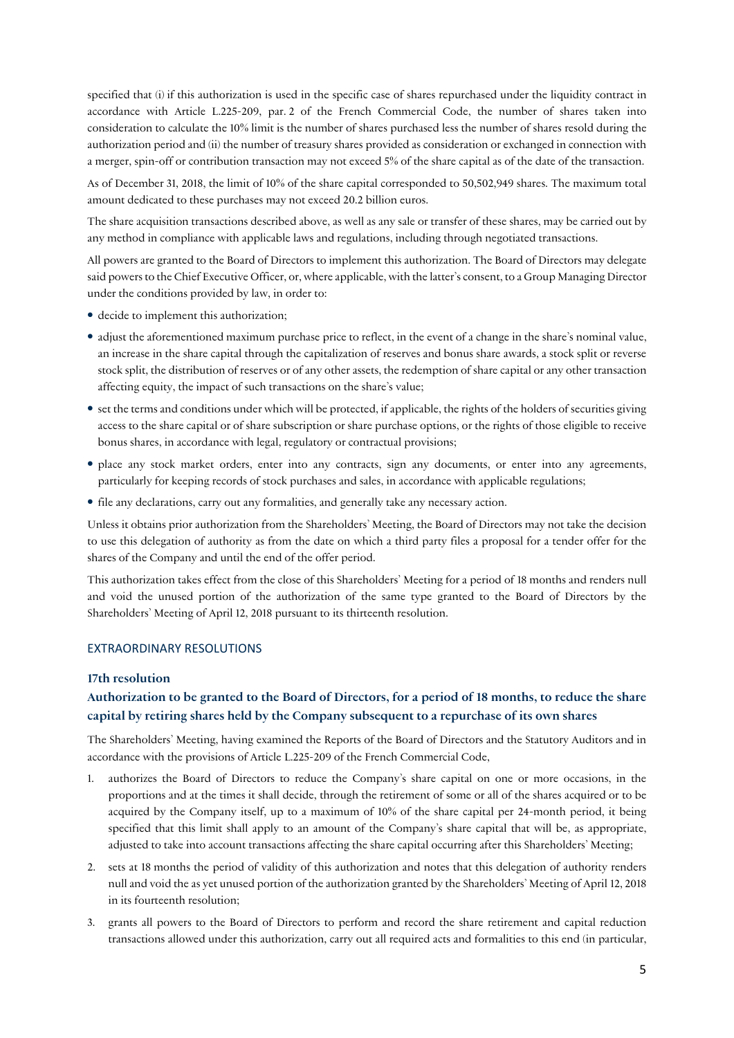a merger, spin-off or contribution transaction may not exceed 5% of the share capital as of the date of the transaction. specified that (i) if this authorization is used in the specific case of shares repurchased under the liquidity contract in accordance with Article L.225-209, par. 2 of the French Commercial Code, the number of shares taken into consideration to calculate the 10% limit is the number of shares purchased less the number of shares resold during the authorization period and (ii) the number of treasury shares provided as consideration or exchanged in connection with

As of December 31, 2018, the limit of 10% of the share capital corresponded to 50,502,949 shares. The maximum total amount dedicated to these purchases may not exceed 20.2 billion euros.

 any method in compliance with applicable laws and regulations, including through negotiated transactions. The share acquisition transactions described above, as well as any sale or transfer of these shares, may be carried out by

 under the conditions provided by law, in order to: All powers are granted to the Board of Directors to implement this authorization. The Board of Directors may delegate said powers to the Chief Executive Officer, or, where applicable, with the latter's consent, to a Group Managing Director

- decide to implement this authorization;
- adjust the aforementioned maximum purchase price to reflect, in the event of a change in the share's nominal value, stock split, the distribution of reserves or of any other assets, the redemption of share capital or any other transaction affecting equity, the impact of such transactions on the share's value; an increase in the share capital through the capitalization of reserves and bonus share awards, a stock split or reverse
- set the terms and conditions under which will be protected, if applicable, the rights of the holders of securities giving access to the share capital or of share subscription or share purchase options, or the rights of those eligible to receive bonus shares, in accordance with legal, regulatory or contractual provisions;
- place any stock market orders, enter into any contracts, sign any documents, or enter into any agreements, particularly for keeping records of stock purchases and sales, in accordance with applicable regulations;
- file any declarations, carry out any formalities, and generally take any necessary action.

 Unless it obtains prior authorization from the Shareholders' Meeting, the Board of Directors may not take the decision to use this delegation of authority as from the date on which a third party files a proposal for a tender offer for the shares of the Company and until the end of the offer period.

 This authorization takes effect from the close of this Shareholders' Meeting for a period of 18 months and renders null and void the unused portion of the authorization of the same type granted to the Board of Directors by the Shareholders' Meeting of April 12, 2018 pursuant to its thirteenth resolution.

### EXTRAORDINARY RESOLUTIONS

#### **17th resolution**

# **Authorization to be granted to the Board of Directors, for a period of 18 months, to reduce the share capital by retiring shares held by the Company subsequent to a repurchase of its own shares**

 The Shareholders' Meeting, having examined the Reports of the Board of Directors and the Statutory Auditors and in accordance with the provisions of Article L.225-209 of the French Commercial Code,

- 1. authorizes the Board of Directors to reduce the Company's share capital on one or more occasions, in the proportions and at the times it shall decide, through the retirement of some or all of the shares acquired or to be acquired by the Company itself, up to a maximum of 10% of the share capital per 24-month period, it being specified that this limit shall apply to an amount of the Company's share capital that will be, as appropriate, adjusted to take into account transactions affecting the share capital occurring after this Shareholders' Meeting;
- 2. sets at 18 months the period of validity of this authorization and notes that this delegation of authority renders in its fourteenth resolution; null and void the as yet unused portion of the authorization granted by the Shareholders' Meeting of April 12, 2018
- 3. grants all powers to the Board of Directors to perform and record the share retirement and capital reduction transactions allowed under this authorization, carry out all required acts and formalities to this end (in particular,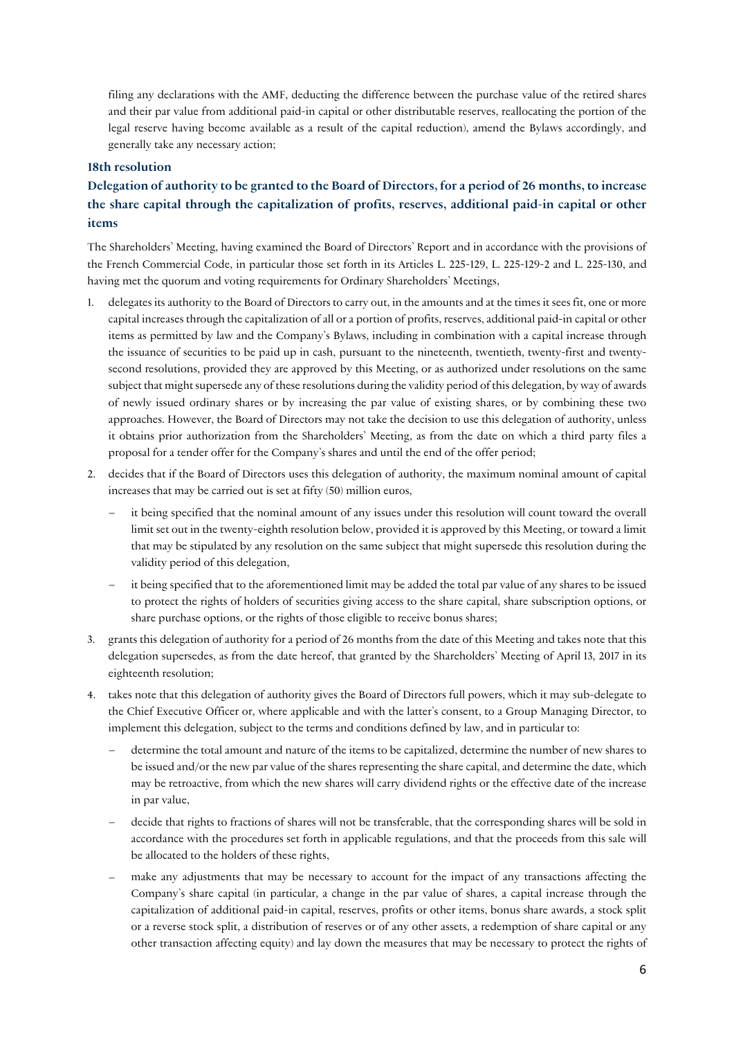filing any declarations with the AMF, deducting the difference between the purchase value of the retired shares and their par value from additional paid-in capital or other distributable reserves, reallocating the portion of the legal reserve having become available as a result of the capital reduction), amend the Bylaws accordingly, and generally take any necessary action;

### **18th resolution**

# **Delegation of authority to be granted to the Board of Directors, for a period of 26 months, to increase the share capital through the capitalization of profits, reserves, additional paid-in capital or other items**

The Shareholders' Meeting, having examined the Board of Directors' Report and in accordance with the provisions of the French Commercial Code, in particular those set forth in its Articles L. 225-129, L. 225-129-2 and L. 225-130, and having met the quorum and voting requirements for Ordinary Shareholders' Meetings,

- the issuance of securities to be paid up in cash, pursuant to the nineteenth, twentieth, twenty-first and twenty- of newly issued ordinary shares or by increasing the par value of existing shares, or by combining these two approaches. However, the Board of Directors may not take the decision to use this delegation of authority, unless it obtains prior authorization from the Shareholders' Meeting, as from the date on which a third party files a proposal for a tender offer for the Company's shares and until the end of the offer period; 1. delegates its authority to the Board of Directors to carry out, in the amounts and at the times it sees fit, one or more capital increases through the capitalization of all or a portion of profits, reserves, additional paid-in capital or other items as permitted by law and the Company's Bylaws, including in combination with a capital increase through second resolutions, provided they are approved by this Meeting, or as authorized under resolutions on the same subject that might supersede any of these resolutions during the validity period of this delegation, by way of awards
- 2. decides that if the Board of Directors uses this delegation of authority, the maximum nominal amount of capital increases that may be carried out is set at fifty (50) million euros,
	- it being specified that the nominal amount of any issues under this resolution will count toward the overall limit set out in the twenty-eighth resolution below, provided it is approved by this Meeting, or toward a limit that may be stipulated by any resolution on the same subject that might supersede this resolution during the validity period of this delegation,
	- it being specified that to the aforementioned limit may be added the total par value of any shares to be issued share purchase options, or the rights of those eligible to receive bonus shares; to protect the rights of holders of securities giving access to the share capital, share subscription options, or
- delegation supersedes, as from the date hereof, that granted by the Shareholders' Meeting of April 13, 2017 in its 3. grants this delegation of authority for a period of 26 months from the date of this Meeting and takes note that this eighteenth resolution;
- 4. takes note that this delegation of authority gives the Board of Directors full powers, which it may sub-delegate to the Chief Executive Officer or, where applicable and with the latter's consent, to a Group Managing Director, to implement this delegation, subject to the terms and conditions defined by law, and in particular to:
	- determine the total amount and nature of the items to be capitalized, determine the number of new shares to may be retroactive, from which the new shares will carry dividend rights or the effective date of the increase be issued and/or the new par value of the shares representing the share capital, and determine the date, which in par value,
	- decide that rights to fractions of shares will not be transferable, that the corresponding shares will be sold in be allocated to the holders of these rights, accordance with the procedures set forth in applicable regulations, and that the proceeds from this sale will
	- Company's share capital (in particular, a change in the par value of shares, a capital increase through the other transaction affecting equity) and lay down the measures that may be necessary to protect the rights of make any adjustments that may be necessary to account for the impact of any transactions affecting the capitalization of additional paid-in capital, reserves, profits or other items, bonus share awards, a stock split or a reverse stock split, a distribution of reserves or of any other assets, a redemption of share capital or any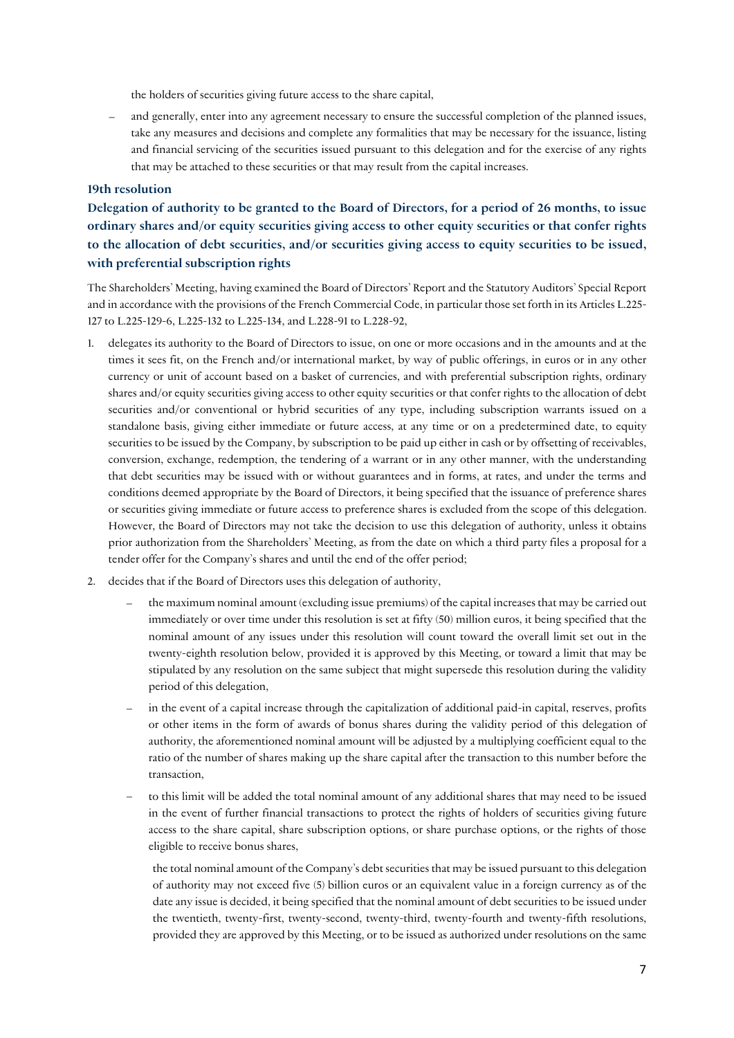the holders of securities giving future access to the share capital,

 take any measures and decisions and complete any formalities that may be necessary for the issuance, listing and financial servicing of the securities issued pursuant to this delegation and for the exercise of any rights that may be attached to these securities or that may result from the capital increases. and generally, enter into any agreement necessary to ensure the successful completion of the planned issues,

#### **19th resolution**

**Delegation of authority to be granted to the Board of Directors, for a period of 26 months, to issue ordinary shares and/or equity securities giving access to other equity securities or that confer rights to the allocation of debt securities, and/or securities giving access to equity securities to be issued, with preferential subscription rights** 

The Shareholders' Meeting, having examined the Board of Directors' Report and the Statutory Auditors' Special Report and in accordance with the provisions of the French Commercial Code, in particular those set forth in its Articles L.225- 127 to L.225-129-6, L.225-132 to L.225-134, and L.228-91 to L.228-92,

- 1. delegates its authority to the Board of Directors to issue, on one or more occasions and in the amounts and at the shares and/or equity securities giving access to other equity securities or that confer rights to the allocation of debt standalone basis, giving either immediate or future access, at any time or on a predetermined date, to equity securities to be issued by the Company, by subscription to be paid up either in cash or by offsetting of receivables, conversion, exchange, redemption, the tendering of a warrant or in any other manner, with the understanding conditions deemed appropriate by the Board of Directors, it being specified that the issuance of preference shares However, the Board of Directors may not take the decision to use this delegation of authority, unless it obtains tender offer for the Company's shares and until the end of the offer period; times it sees fit, on the French and/or international market, by way of public offerings, in euros or in any other currency or unit of account based on a basket of currencies, and with preferential subscription rights, ordinary securities and/or conventional or hybrid securities of any type, including subscription warrants issued on a that debt securities may be issued with or without guarantees and in forms, at rates, and under the terms and or securities giving immediate or future access to preference shares is excluded from the scope of this delegation. prior authorization from the Shareholders' Meeting, as from the date on which a third party files a proposal for a
- 2. decides that if the Board of Directors uses this delegation of authority,
	- the maximum nominal amount (excluding issue premiums) of the capital increases that may be carried out immediately or over time under this resolution is set at fifty (50) million euros, it being specified that the nominal amount of any issues under this resolution will count toward the overall limit set out in the twenty-eighth resolution below, provided it is approved by this Meeting, or toward a limit that may be stipulated by any resolution on the same subject that might supersede this resolution during the validity period of this delegation,
	- or other items in the form of awards of bonus shares during the validity period of this delegation of ratio of the number of shares making up the share capital after the transaction to this number before the in the event of a capital increase through the capitalization of additional paid-in capital, reserves, profits authority, the aforementioned nominal amount will be adjusted by a multiplying coefficient equal to the transaction,
	- to this limit will be added the total nominal amount of any additional shares that may need to be issued in the event of further financial transactions to protect the rights of holders of securities giving future access to the share capital, share subscription options, or share purchase options, or the rights of those eligible to receive bonus shares,

 the total nominal amount of the Company's debt securities that may be issued pursuant to this delegation of authority may not exceed five (5) billion euros or an equivalent value in a foreign currency as of the provided they are approved by this Meeting, or to be issued as authorized under resolutions on the same date any issue is decided, it being specified that the nominal amount of debt securities to be issued under the twentieth, twenty-first, twenty-second, twenty-third, twenty-fourth and twenty-fifth resolutions,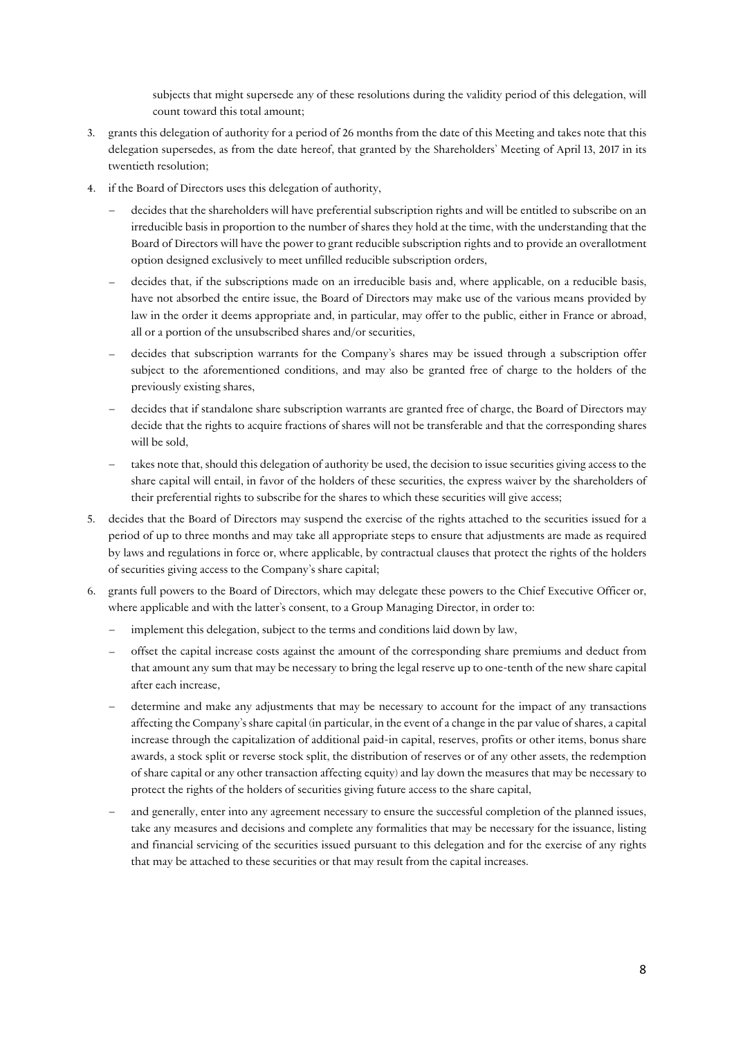subjects that might supersede any of these resolutions during the validity period of this delegation, will count toward this total amount;

- delegation supersedes, as from the date hereof, that granted by the Shareholders' Meeting of April 13, 2017 in its 3. grants this delegation of authority for a period of 26 months from the date of this Meeting and takes note that this twentieth resolution;
- 4. if the Board of Directors uses this delegation of authority,
	- decides that the shareholders will have preferential subscription rights and will be entitled to subscribe on an irreducible basis in proportion to the number of shares they hold at the time, with the understanding that the Board of Directors will have the power to grant reducible subscription rights and to provide an overallotment option designed exclusively to meet unfilled reducible subscription orders,
	- have not absorbed the entire issue, the Board of Directors may make use of the various means provided by law in the order it deems appropriate and, in particular, may offer to the public, either in France or abroad, all or a portion of the unsubscribed shares and/or securities, decides that, if the subscriptions made on an irreducible basis and, where applicable, on a reducible basis,
	- subject to the aforementioned conditions, and may also be granted free of charge to the holders of the decides that subscription warrants for the Company's shares may be issued through a subscription offer previously existing shares,
	- decide that the rights to acquire fractions of shares will not be transferable and that the corresponding shares decides that if standalone share subscription warrants are granted free of charge, the Board of Directors may will be sold,
	- takes note that, should this delegation of authority be used, the decision to issue securities giving access to the share capital will entail, in favor of the holders of these securities, the express waiver by the shareholders of their preferential rights to subscribe for the shares to which these securities will give access;
- by laws and regulations in force or, where applicable, by contractual clauses that protect the rights of the holders 5. decides that the Board of Directors may suspend the exercise of the rights attached to the securities issued for a period of up to three months and may take all appropriate steps to ensure that adjustments are made as required of securities giving access to the Company's share capital;
- 6. grants full powers to the Board of Directors, which may delegate these powers to the Chief Executive Officer or, where applicable and with the latter's consent, to a Group Managing Director, in order to:
	- implement this delegation, subject to the terms and conditions laid down by law,
	- offset the capital increase costs against the amount of the corresponding share premiums and deduct from that amount any sum that may be necessary to bring the legal reserve up to one-tenth of the new share capital after each increase,
	- determine and make any adjustments that may be necessary to account for the impact of any transactions affecting the Company's share capital (in particular, in the event of a change in the par value of shares, a capital awards, a stock split or reverse stock split, the distribution of reserves or of any other assets, the redemption of share capital or any other transaction affecting equity) and lay down the measures that may be necessary to protect the rights of the holders of securities giving future access to the share capital, increase through the capitalization of additional paid-in capital, reserves, profits or other items, bonus share
	- take any measures and decisions and complete any formalities that may be necessary for the issuance, listing and financial servicing of the securities issued pursuant to this delegation and for the exercise of any rights that may be attached to these securities or that may result from the capital increases. and generally, enter into any agreement necessary to ensure the successful completion of the planned issues,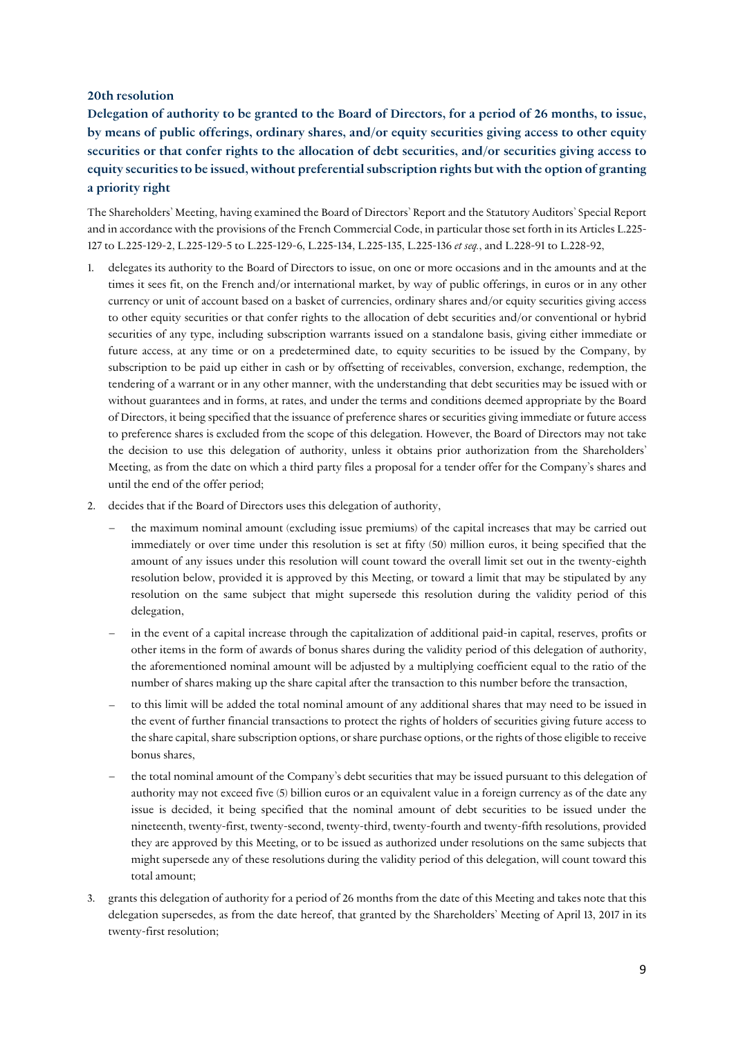**Delegation of authority to be granted to the Board of Directors, for a period of 26 months, to issue, by means of public offerings, ordinary shares, and/or equity securities giving access to other equity securities or that confer rights to the allocation of debt securities, and/or securities giving access to equity securities to be issued, without preferential subscription rights but with the option of granting a priority right** 

The Shareholders' Meeting, having examined the Board of Directors' Report and the Statutory Auditors' Special Report and in accordance with the provisions of the French Commercial Code, in particular those set forth in its Articles L.225- 127 to L.225-129-2, L.225-129-5 to L.225-129-6, L.225-134, L.225-135, L.225-136 *et seq.*, and L.228-91 to L.228-92,

- 1. delegates its authority to the Board of Directors to issue, on one or more occasions and in the amounts and at the currency or unit of account based on a basket of currencies, ordinary shares and/or equity securities giving access future access, at any time or on a predetermined date, to equity securities to be issued by the Company, by to preference shares is excluded from the scope of this delegation. However, the Board of Directors may not take the decision to use this delegation of authority, unless it obtains prior authorization from the Shareholders' Meeting, as from the date on which a third party files a proposal for a tender offer for the Company's shares and times it sees fit, on the French and/or international market, by way of public offerings, in euros or in any other to other equity securities or that confer rights to the allocation of debt securities and/or conventional or hybrid securities of any type, including subscription warrants issued on a standalone basis, giving either immediate or subscription to be paid up either in cash or by offsetting of receivables, conversion, exchange, redemption, the tendering of a warrant or in any other manner, with the understanding that debt securities may be issued with or without guarantees and in forms, at rates, and under the terms and conditions deemed appropriate by the Board of Directors, it being specified that the issuance of preference shares or securities giving immediate or future access until the end of the offer period;
- 2. decides that if the Board of Directors uses this delegation of authority,
	- the maximum nominal amount (excluding issue premiums) of the capital increases that may be carried out immediately or over time under this resolution is set at fifty (50) million euros, it being specified that the amount of any issues under this resolution will count toward the overall limit set out in the twenty-eighth resolution below, provided it is approved by this Meeting, or toward a limit that may be stipulated by any resolution on the same subject that might supersede this resolution during the validity period of this delegation,
	- in the event of a capital increase through the capitalization of additional paid-in capital, reserves, profits or other items in the form of awards of bonus shares during the validity period of this delegation of authority, the aforementioned nominal amount will be adjusted by a multiplying coefficient equal to the ratio of the number of shares making up the share capital after the transaction to this number before the transaction,
	- the event of further financial transactions to protect the rights of holders of securities giving future access to the share capital, share subscription options, or share purchase options, or the rights of those eligible to receive to this limit will be added the total nominal amount of any additional shares that may need to be issued in bonus shares,
	- the total nominal amount of the Company's debt securities that may be issued pursuant to this delegation of authority may not exceed five (5) billion euros or an equivalent value in a foreign currency as of the date any they are approved by this Meeting, or to be issued as authorized under resolutions on the same subjects that issue is decided, it being specified that the nominal amount of debt securities to be issued under the nineteenth, twenty-first, twenty-second, twenty-third, twenty-fourth and twenty-fifth resolutions, provided might supersede any of these resolutions during the validity period of this delegation, will count toward this total amount;
- delegation supersedes, as from the date hereof, that granted by the Shareholders' Meeting of April 13, 2017 in its 3. grants this delegation of authority for a period of 26 months from the date of this Meeting and takes note that this twenty-first resolution;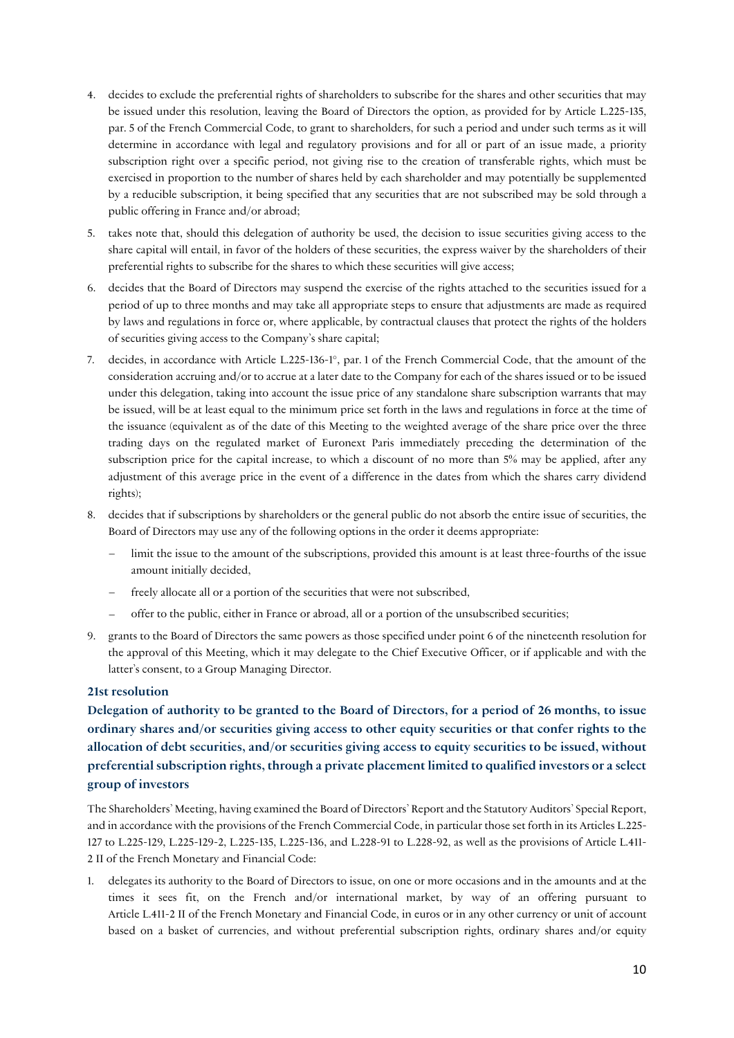- 4. decides to exclude the preferential rights of shareholders to subscribe for the shares and other securities that may subscription right over a specific period, not giving rise to the creation of transferable rights, which must be exercised in proportion to the number of shares held by each shareholder and may potentially be supplemented be issued under this resolution, leaving the Board of Directors the option, as provided for by Article L.225-135, par. 5 of the French Commercial Code, to grant to shareholders, for such a period and under such terms as it will determine in accordance with legal and regulatory provisions and for all or part of an issue made, a priority by a reducible subscription, it being specified that any securities that are not subscribed may be sold through a public offering in France and/or abroad;
- 5. takes note that, should this delegation of authority be used, the decision to issue securities giving access to the share capital will entail, in favor of the holders of these securities, the express waiver by the shareholders of their preferential rights to subscribe for the shares to which these securities will give access;
- by laws and regulations in force or, where applicable, by contractual clauses that protect the rights of the holders 6. decides that the Board of Directors may suspend the exercise of the rights attached to the securities issued for a period of up to three months and may take all appropriate steps to ensure that adjustments are made as required of securities giving access to the Company's share capital;
- under this delegation, taking into account the issue price of any standalone share subscription warrants that may the issuance (equivalent as of the date of this Meeting to the weighted average of the share price over the three subscription price for the capital increase, to which a discount of no more than 5% may be applied, after any adjustment of this average price in the event of a difference in the dates from which the shares carry dividend 7. decides, in accordance with Article L.225-136-1°, par. 1 of the French Commercial Code, that the amount of the consideration accruing and/or to accrue at a later date to the Company for each of the shares issued or to be issued be issued, will be at least equal to the minimum price set forth in the laws and regulations in force at the time of trading days on the regulated market of Euronext Paris immediately preceding the determination of the rights);
- 8. decides that if subscriptions by shareholders or the general public do not absorb the entire issue of securities, the Board of Directors may use any of the following options in the order it deems appropriate:
	- limit the issue to the amount of the subscriptions, provided this amount is at least three-fourths of the issue amount initially decided,
	- freely allocate all or a portion of the securities that were not subscribed,
	- offer to the public, either in France or abroad, all or a portion of the unsubscribed securities;
- 9. grants to the Board of Directors the same powers as those specified under point 6 of the nineteenth resolution for the approval of this Meeting, which it may delegate to the Chief Executive Officer, or if applicable and with the latter's consent, to a Group Managing Director.

 **Delegation of authority to be granted to the Board of Directors, for a period of 26 months, to issue allocation of debt securities, and/or securities giving access to equity securities to be issued, without ordinary shares and/or securities giving access to other equity securities or that confer rights to the preferential subscription rights, through a private placement limited to qualified investors or a select group of investors** 

The Shareholders' Meeting, having examined the Board of Directors' Report and the Statutory Auditors' Special Report, and in accordance with the provisions of the French Commercial Code, in particular those set forth in its Articles L.225- 127 to L.225-129, L.225-129-2, L.225-135, L.225-136, and L.228-91 to L.228-92, as well as the provisions of Article L.411- 2 II of the French Monetary and Financial Code:

 1. delegates its authority to the Board of Directors to issue, on one or more occasions and in the amounts and at the times it sees fit, on the French and/or international market, by way of an offering pursuant to Article L.411-2 II of the French Monetary and Financial Code, in euros or in any other currency or unit of account based on a basket of currencies, and without preferential subscription rights, ordinary shares and/or equity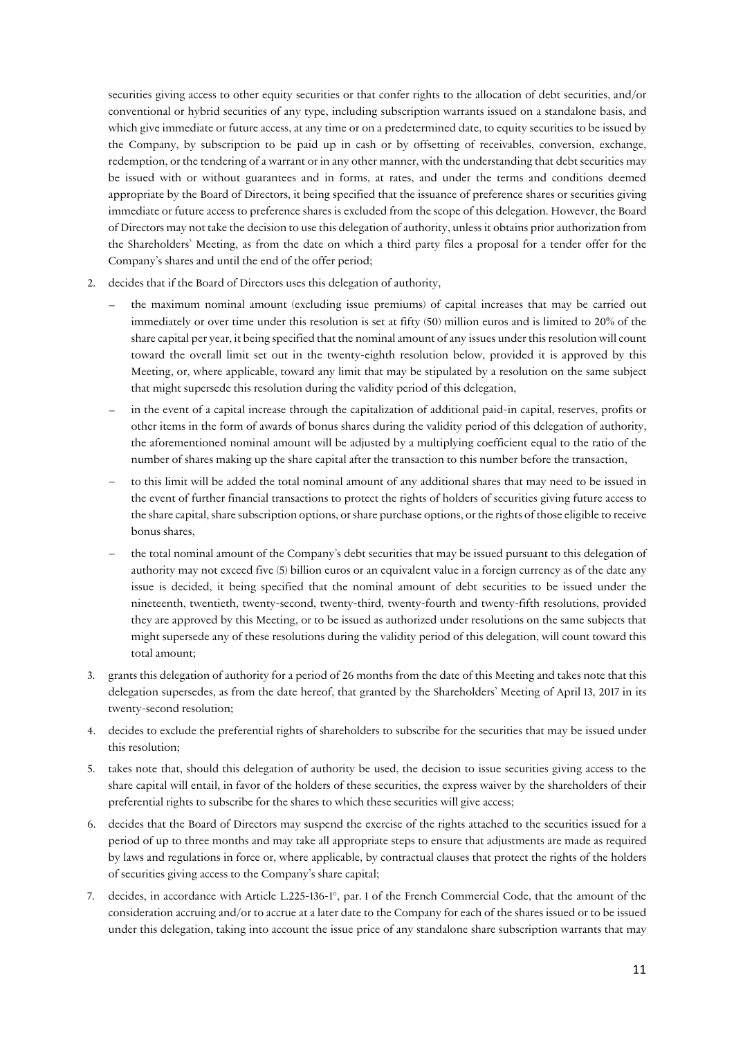securities giving access to other equity securities or that confer rights to the allocation of debt securities, and/or conventional or hybrid securities of any type, including subscription warrants issued on a standalone basis, and which give immediate or future access, at any time or on a predetermined date, to equity securities to be issued by the Company, by subscription to be paid up in cash or by offsetting of receivables, conversion, exchange, be issued with or without guarantees and in forms, at rates, and under the terms and conditions deemed immediate or future access to preference shares is excluded from the scope of this delegation. However, the Board Company's shares and until the end of the offer period; redemption, or the tendering of a warrant or in any other manner, with the understanding that debt securities may appropriate by the Board of Directors, it being specified that the issuance of preference shares or securities giving of Directors may not take the decision to use this delegation of authority, unless it obtains prior authorization from the Shareholders' Meeting, as from the date on which a third party files a proposal for a tender offer for the

- 2. decides that if the Board of Directors uses this delegation of authority,
	- toward the overall limit set out in the twenty-eighth resolution below, provided it is approved by this the maximum nominal amount (excluding issue premiums) of capital increases that may be carried out immediately or over time under this resolution is set at fifty (50) million euros and is limited to 20% of the share capital per year, it being specified that the nominal amount of any issues under this resolution will count Meeting, or, where applicable, toward any limit that may be stipulated by a resolution on the same subject that might supersede this resolution during the validity period of this delegation,
	- in the event of a capital increase through the capitalization of additional paid-in capital, reserves, profits or other items in the form of awards of bonus shares during the validity period of this delegation of authority, the aforementioned nominal amount will be adjusted by a multiplying coefficient equal to the ratio of the number of shares making up the share capital after the transaction to this number before the transaction,
	- the event of further financial transactions to protect the rights of holders of securities giving future access to the share capital, share subscription options, or share purchase options, or the rights of those eligible to receive to this limit will be added the total nominal amount of any additional shares that may need to be issued in bonus shares,
	- the total nominal amount of the Company's debt securities that may be issued pursuant to this delegation of authority may not exceed five (5) billion euros or an equivalent value in a foreign currency as of the date any they are approved by this Meeting, or to be issued as authorized under resolutions on the same subjects that issue is decided, it being specified that the nominal amount of debt securities to be issued under the nineteenth, twentieth, twenty-second, twenty-third, twenty-fourth and twenty-fifth resolutions, provided might supersede any of these resolutions during the validity period of this delegation, will count toward this total amount;
- delegation supersedes, as from the date hereof, that granted by the Shareholders' Meeting of April 13, 2017 in its 3. grants this delegation of authority for a period of 26 months from the date of this Meeting and takes note that this twenty-second resolution;
- 4. decides to exclude the preferential rights of shareholders to subscribe for the securities that may be issued under this resolution;
- 5. takes note that, should this delegation of authority be used, the decision to issue securities giving access to the share capital will entail, in favor of the holders of these securities, the express waiver by the shareholders of their preferential rights to subscribe for the shares to which these securities will give access;
- by laws and regulations in force or, where applicable, by contractual clauses that protect the rights of the holders 6. decides that the Board of Directors may suspend the exercise of the rights attached to the securities issued for a period of up to three months and may take all appropriate steps to ensure that adjustments are made as required of securities giving access to the Company's share capital;
- under this delegation, taking into account the issue price of any standalone share subscription warrants that may 7. decides, in accordance with Article L.225-136-1°, par. 1 of the French Commercial Code, that the amount of the consideration accruing and/or to accrue at a later date to the Company for each of the shares issued or to be issued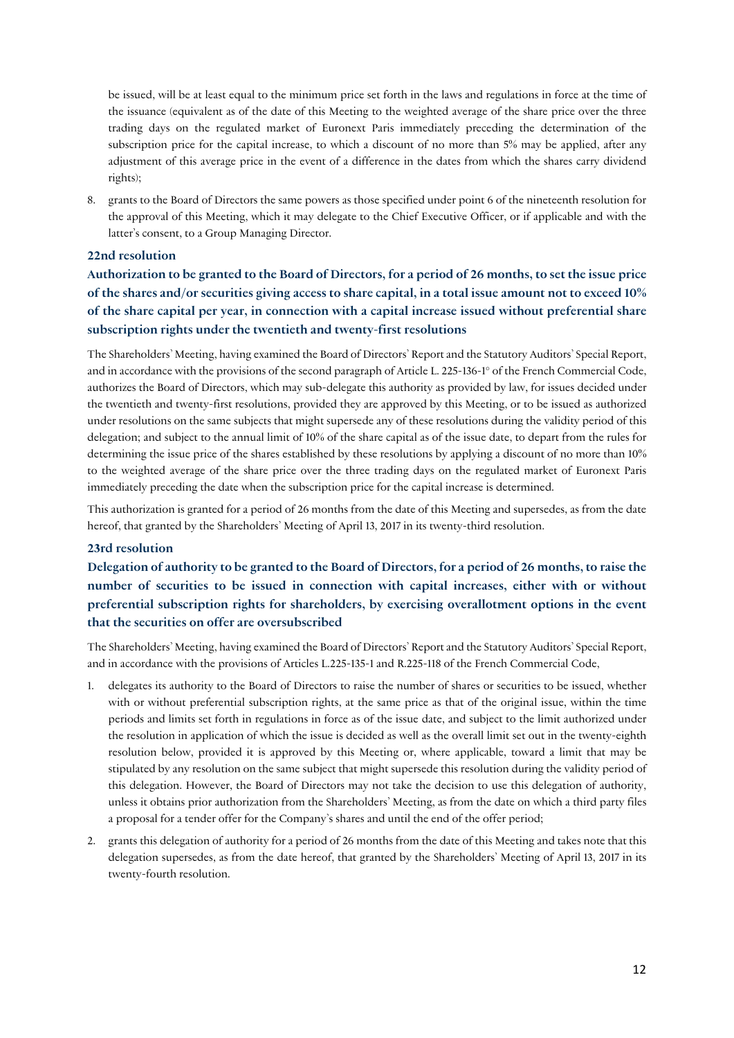the issuance (equivalent as of the date of this Meeting to the weighted average of the share price over the three subscription price for the capital increase, to which a discount of no more than 5% may be applied, after any adjustment of this average price in the event of a difference in the dates from which the shares carry dividend be issued, will be at least equal to the minimum price set forth in the laws and regulations in force at the time of trading days on the regulated market of Euronext Paris immediately preceding the determination of the rights);

8. grants to the Board of Directors the same powers as those specified under point 6 of the nineteenth resolution for the approval of this Meeting, which it may delegate to the Chief Executive Officer, or if applicable and with the latter's consent, to a Group Managing Director.

### **22nd resolution**

 **Authorization to be granted to the Board of Directors, for a period of 26 months, to set the issue price of the shares and/or securities giving access to share capital, in a total issue amount not to exceed 10% of the share capital per year, in connection with a capital increase issued without preferential share subscription rights under the twentieth and twenty-first resolutions** 

 and in accordance with the provisions of the second paragraph of Article L. 225-136-1° of the French Commercial Code, authorizes the Board of Directors, which may sub-delegate this authority as provided by law, for issues decided under the twentieth and twenty-first resolutions, provided they are approved by this Meeting, or to be issued as authorized under resolutions on the same subjects that might supersede any of these resolutions during the validity period of this delegation; and subject to the annual limit of 10% of the share capital as of the issue date, to depart from the rules for The Shareholders' Meeting, having examined the Board of Directors' Report and the Statutory Auditors' Special Report, determining the issue price of the shares established by these resolutions by applying a discount of no more than 10% to the weighted average of the share price over the three trading days on the regulated market of Euronext Paris immediately preceding the date when the subscription price for the capital increase is determined.

 This authorization is granted for a period of 26 months from the date of this Meeting and supersedes, as from the date hereof, that granted by the Shareholders' Meeting of April 13, 2017 in its twenty-third resolution.

#### **23rd resolution**

 **Delegation of authority to be granted to the Board of Directors, for a period of 26 months, to raise the number of securities to be issued in connection with capital increases, either with or without preferential subscription rights for shareholders, by exercising overallotment options in the event that the securities on offer are oversubscribed** 

 and in accordance with the provisions of Articles L.225-135-1 and R.225-118 of the French Commercial Code, The Shareholders' Meeting, having examined the Board of Directors' Report and the Statutory Auditors' Special Report,

- 1. delegates its authority to the Board of Directors to raise the number of shares or securities to be issued, whether with or without preferential subscription rights, at the same price as that of the original issue, within the time the resolution in application of which the issue is decided as well as the overall limit set out in the twenty-eighth resolution below, provided it is approved by this Meeting or, where applicable, toward a limit that may be unless it obtains prior authorization from the Shareholders' Meeting, as from the date on which a third party files periods and limits set forth in regulations in force as of the issue date, and subject to the limit authorized under stipulated by any resolution on the same subject that might supersede this resolution during the validity period of this delegation. However, the Board of Directors may not take the decision to use this delegation of authority, a proposal for a tender offer for the Company's shares and until the end of the offer period;
- delegation supersedes, as from the date hereof, that granted by the Shareholders' Meeting of April 13, 2017 in its 2. grants this delegation of authority for a period of 26 months from the date of this Meeting and takes note that this twenty-fourth resolution.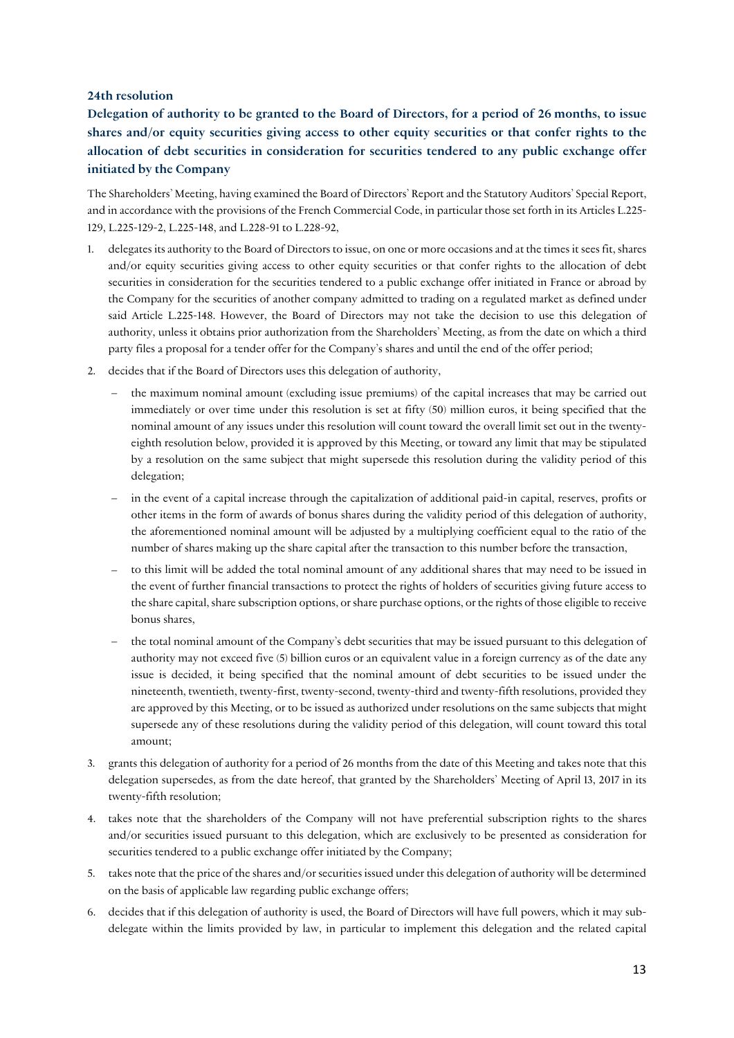**Delegation of authority to be granted to the Board of Directors, for a period of 26 months, to issue shares and/or equity securities giving access to other equity securities or that confer rights to the allocation of debt securities in consideration for securities tendered to any public exchange offer initiated by the Company** 

The Shareholders' Meeting, having examined the Board of Directors' Report and the Statutory Auditors' Special Report, and in accordance with the provisions of the French Commercial Code, in particular those set forth in its Articles L.225- 129, L.225-129-2, L.225-148, and L.228-91 to L.228-92,

- and/or equity securities giving access to other equity securities or that confer rights to the allocation of debt the Company for the securities of another company admitted to trading on a regulated market as defined under said Article L.225-148. However, the Board of Directors may not take the decision to use this delegation of authority, unless it obtains prior authorization from the Shareholders' Meeting, as from the date on which a third party files a proposal for a tender offer for the Company's shares and until the end of the offer period; 1. delegates its authority to the Board of Directors to issue, on one or more occasions and at the times it sees fit, shares securities in consideration for the securities tendered to a public exchange offer initiated in France or abroad by
- 2. decides that if the Board of Directors uses this delegation of authority,
	- the maximum nominal amount (excluding issue premiums) of the capital increases that may be carried out immediately or over time under this resolution is set at fifty (50) million euros, it being specified that the eighth resolution below, provided it is approved by this Meeting, or toward any limit that may be stipulated by a resolution on the same subject that might supersede this resolution during the validity period of this nominal amount of any issues under this resolution will count toward the overall limit set out in the twentydelegation;
	- in the event of a capital increase through the capitalization of additional paid-in capital, reserves, profits or other items in the form of awards of bonus shares during the validity period of this delegation of authority, the aforementioned nominal amount will be adjusted by a multiplying coefficient equal to the ratio of the number of shares making up the share capital after the transaction to this number before the transaction,
	- the event of further financial transactions to protect the rights of holders of securities giving future access to the share capital, share subscription options, or share purchase options, or the rights of those eligible to receive to this limit will be added the total nominal amount of any additional shares that may need to be issued in bonus shares,
	- the total nominal amount of the Company's debt securities that may be issued pursuant to this delegation of authority may not exceed five (5) billion euros or an equivalent value in a foreign currency as of the date any nineteenth, twentieth, twenty-first, twenty-second, twenty-third and twenty-fifth resolutions, provided they are approved by this Meeting, or to be issued as authorized under resolutions on the same subjects that might issue is decided, it being specified that the nominal amount of debt securities to be issued under the supersede any of these resolutions during the validity period of this delegation, will count toward this total amount;
- delegation supersedes, as from the date hereof, that granted by the Shareholders' Meeting of April 13, 2017 in its 3. grants this delegation of authority for a period of 26 months from the date of this Meeting and takes note that this twenty-fifth resolution;
- 4. takes note that the shareholders of the Company will not have preferential subscription rights to the shares and/or securities issued pursuant to this delegation, which are exclusively to be presented as consideration for securities tendered to a public exchange offer initiated by the Company;
- 5. takes note that the price of the shares and/or securities issued under this delegation of authority will be determined on the basis of applicable law regarding public exchange offers;
- 6. decides that if this delegation of authority is used, the Board of Directors will have full powers, which it may subdelegate within the limits provided by law, in particular to implement this delegation and the related capital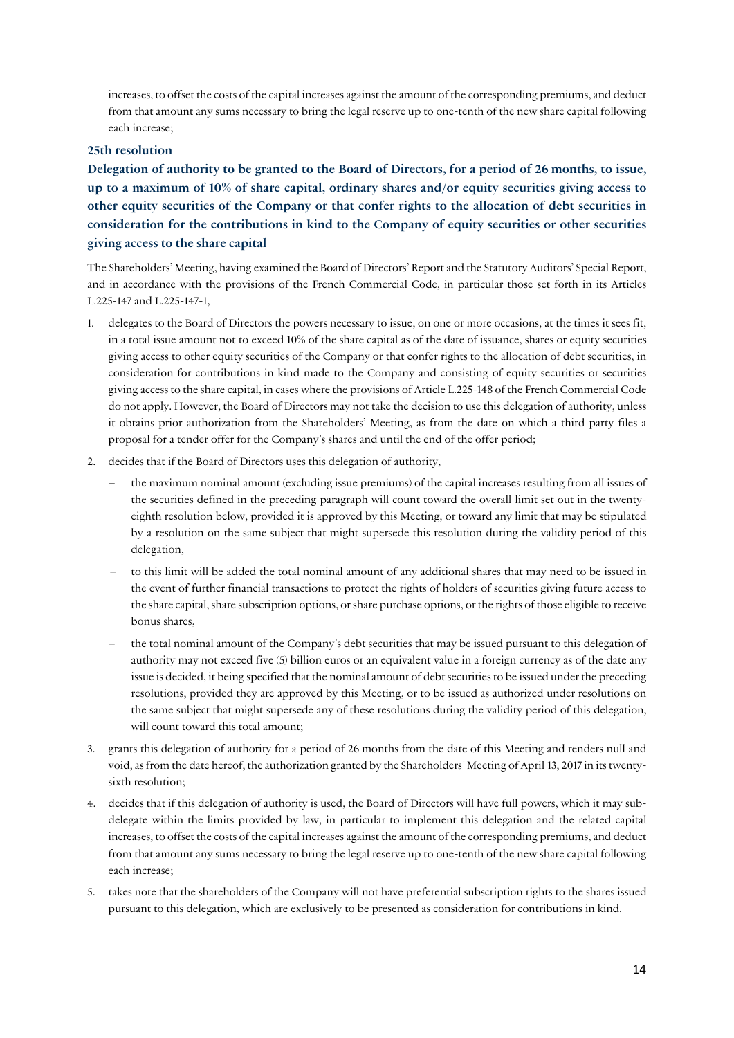increases, to offset the costs of the capital increases against the amount of the corresponding premiums, and deduct from that amount any sums necessary to bring the legal reserve up to one-tenth of the new share capital following each increase;

### **25th resolution**

 **giving access to the share capital Delegation of authority to be granted to the Board of Directors, for a period of 26 months, to issue, up to a maximum of 10% of share capital, ordinary shares and/or equity securities giving access to other equity securities of the Company or that confer rights to the allocation of debt securities in consideration for the contributions in kind to the Company of equity securities or other securities** 

 and in accordance with the provisions of the French Commercial Code, in particular those set forth in its Articles L.225-147 and L.225-147-1, The Shareholders' Meeting, having examined the Board of Directors' Report and the Statutory Auditors' Special Report,

- 1. delegates to the Board of Directors the powers necessary to issue, on one or more occasions, at the times it sees fit, giving access to other equity securities of the Company or that confer rights to the allocation of debt securities, in it obtains prior authorization from the Shareholders' Meeting, as from the date on which a third party files a proposal for a tender offer for the Company's shares and until the end of the offer period; in a total issue amount not to exceed 10% of the share capital as of the date of issuance, shares or equity securities consideration for contributions in kind made to the Company and consisting of equity securities or securities giving access to the share capital, in cases where the provisions of Article L.225-148 of the French Commercial Code do not apply. However, the Board of Directors may not take the decision to use this delegation of authority, unless
- 2. decides that if the Board of Directors uses this delegation of authority,
	- the maximum nominal amount (excluding issue premiums) of the capital increases resulting from all issues of eighth resolution below, provided it is approved by this Meeting, or toward any limit that may be stipulated by a resolution on the same subject that might supersede this resolution during the validity period of this the securities defined in the preceding paragraph will count toward the overall limit set out in the twentydelegation,
	- the event of further financial transactions to protect the rights of holders of securities giving future access to the share capital, share subscription options, or share purchase options, or the rights of those eligible to receive - to this limit will be added the total nominal amount of any additional shares that may need to be issued in bonus shares,
	- the total nominal amount of the Company's debt securities that may be issued pursuant to this delegation of authority may not exceed five (5) billion euros or an equivalent value in a foreign currency as of the date any the same subject that might supersede any of these resolutions during the validity period of this delegation, issue is decided, it being specified that the nominal amount of debt securities to be issued under the preceding resolutions, provided they are approved by this Meeting, or to be issued as authorized under resolutions on will count toward this total amount;
- 3. grants this delegation of authority for a period of 26 months from the date of this Meeting and renders null and void, as from the date hereof, the authorization granted by the Shareholders' Meeting of April 13, 2017 in its twentysixth resolution;
- 4. decides that if this delegation of authority is used, the Board of Directors will have full powers, which it may sub- increases, to offset the costs of the capital increases against the amount of the corresponding premiums, and deduct delegate within the limits provided by law, in particular to implement this delegation and the related capital from that amount any sums necessary to bring the legal reserve up to one-tenth of the new share capital following each increase;
- pursuant to this delegation, which are exclusively to be presented as consideration for contributions in kind. 5. takes note that the shareholders of the Company will not have preferential subscription rights to the shares issued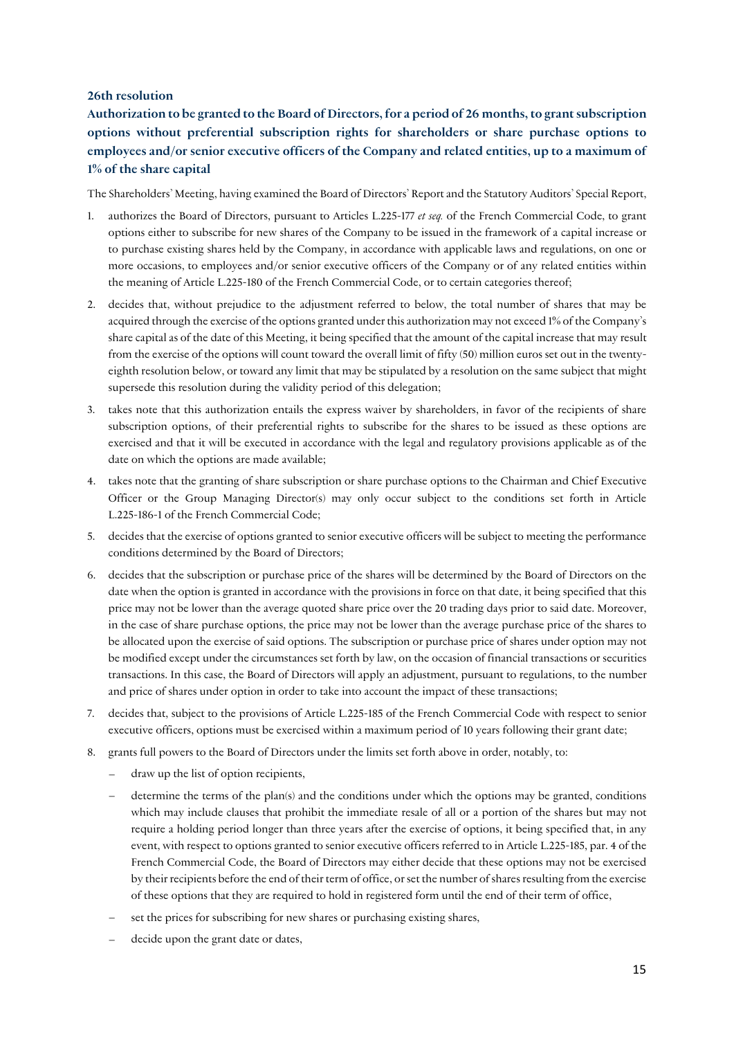**Authorization to be granted to the Board of Directors, for a period of 26 months, to grant subscription employees and/or senior executive officers of the Company and related entities, up to a maximum of options without preferential subscription rights for shareholders or share purchase options to 1% of the share capital** 

The Shareholders' Meeting, having examined the Board of Directors' Report and the Statutory Auditors' Special Report,

- 1. authorizes the Board of Directors, pursuant to Articles L.225-177 *et seq.* of the French Commercial Code, to grant more occasions, to employees and/or senior executive officers of the Company or of any related entities within options either to subscribe for new shares of the Company to be issued in the framework of a capital increase or to purchase existing shares held by the Company, in accordance with applicable laws and regulations, on one or the meaning of Article L.225-180 of the French Commercial Code, or to certain categories thereof;
- share capital as of the date of this Meeting, it being specified that the amount of the capital increase that may result 2. decides that, without prejudice to the adjustment referred to below, the total number of shares that may be acquired through the exercise of the options granted under this authorization may not exceed 1% of the Company's from the exercise of the options will count toward the overall limit of fifty (50) million euros set out in the twentyeighth resolution below, or toward any limit that may be stipulated by a resolution on the same subject that might supersede this resolution during the validity period of this delegation;
- 3. takes note that this authorization entails the express waiver by shareholders, in favor of the recipients of share subscription options, of their preferential rights to subscribe for the shares to be issued as these options are date on which the options are made available; exercised and that it will be executed in accordance with the legal and regulatory provisions applicable as of the
- 4. takes note that the granting of share subscription or share purchase options to the Chairman and Chief Executive Officer or the Group Managing Director(s) may only occur subject to the conditions set forth in Article L.225-186-1 of the French Commercial Code;
- 5. decides that the exercise of options granted to senior executive officers will be subject to meeting the performance conditions determined by the Board of Directors;
- 6. decides that the subscription or purchase price of the shares will be determined by the Board of Directors on the in the case of share purchase options, the price may not be lower than the average purchase price of the shares to date when the option is granted in accordance with the provisions in force on that date, it being specified that this price may not be lower than the average quoted share price over the 20 trading days prior to said date. Moreover, be allocated upon the exercise of said options. The subscription or purchase price of shares under option may not be modified except under the circumstances set forth by law, on the occasion of financial transactions or securities transactions. In this case, the Board of Directors will apply an adjustment, pursuant to regulations, to the number and price of shares under option in order to take into account the impact of these transactions;
- executive officers, options must be exercised within a maximum period of 10 years following their grant date; 7. decides that, subject to the provisions of Article L.225-185 of the French Commercial Code with respect to senior
- 8. grants full powers to the Board of Directors under the limits set forth above in order, notably, to:
	- draw up the list of option recipients,
	- which may include clauses that prohibit the immediate resale of all or a portion of the shares but may not by their recipients before the end of their term of office, or set the number of shares resulting from the exercise determine the terms of the plan(s) and the conditions under which the options may be granted, conditions require a holding period longer than three years after the exercise of options, it being specified that, in any event, with respect to options granted to senior executive officers referred to in Article L.225-185, par. 4 of the French Commercial Code, the Board of Directors may either decide that these options may not be exercised of these options that they are required to hold in registered form until the end of their term of office,
	- set the prices for subscribing for new shares or purchasing existing shares,
	- decide upon the grant date or dates,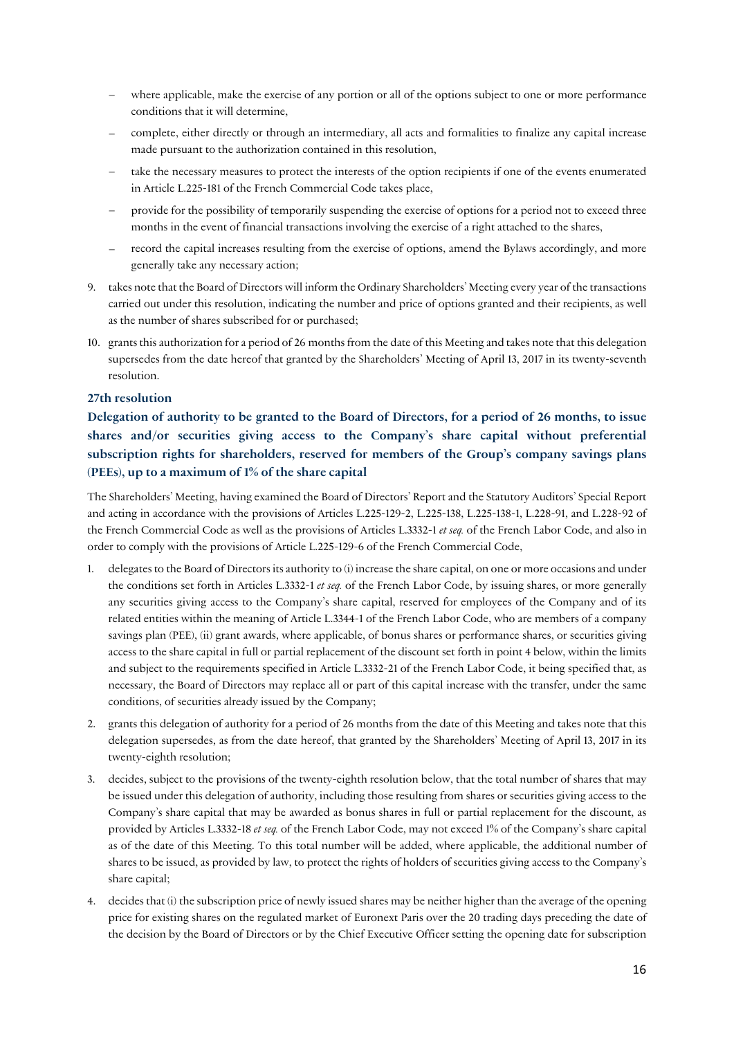- where applicable, make the exercise of any portion or all of the options subject to one or more performance conditions that it will determine,
- complete, either directly or through an intermediary, all acts and formalities to finalize any capital increase made pursuant to the authorization contained in this resolution,
- take the necessary measures to protect the interests of the option recipients if one of the events enumerated in Article L.225-181 of the French Commercial Code takes place,
- provide for the possibility of temporarily suspending the exercise of options for a period not to exceed three months in the event of financial transactions involving the exercise of a right attached to the shares,
- record the capital increases resulting from the exercise of options, amend the Bylaws accordingly, and more generally take any necessary action;
- as the number of shares subscribed for or purchased; 9. takes note that the Board of Directors will inform the Ordinary Shareholders' Meeting every year of the transactions carried out under this resolution, indicating the number and price of options granted and their recipients, as well
- 10. grants this authorization for a period of 26 months from the date of this Meeting and takes note that this delegation supersedes from the date hereof that granted by the Shareholders' Meeting of April 13, 2017 in its twenty-seventh resolution.

# **Delegation of authority to be granted to the Board of Directors, for a period of 26 months, to issue shares and/or securities giving access to the Company's share capital without preferential subscription rights for shareholders, reserved for members of the Group's company savings plans (PEEs), up to a maximum of 1% of the share capital**

 order to comply with the provisions of Article L.225-129-6 of the French Commercial Code, The Shareholders' Meeting, having examined the Board of Directors' Report and the Statutory Auditors' Special Report and acting in accordance with the provisions of Articles L.225-129-2, L.225-138, L.225-138-1, L.228-91, and L.228-92 of the French Commercial Code as well as the provisions of Articles L.3332-1 *et seq.* of the French Labor Code, and also in

- and subject to the requirements specified in Article L.3332-21 of the French Labor Code, it being specified that, as 1. delegates to the Board of Directors its authority to (i) increase the share capital, on one or more occasions and under the conditions set forth in Articles L.3332-1 *et seq.* of the French Labor Code, by issuing shares, or more generally any securities giving access to the Company's share capital, reserved for employees of the Company and of its related entities within the meaning of Article L.3344-1 of the French Labor Code, who are members of a company savings plan (PEE), (ii) grant awards, where applicable, of bonus shares or performance shares, or securities giving access to the share capital in full or partial replacement of the discount set forth in point 4 below, within the limits necessary, the Board of Directors may replace all or part of this capital increase with the transfer, under the same conditions, of securities already issued by the Company;
- delegation supersedes, as from the date hereof, that granted by the Shareholders' Meeting of April 13, 2017 in its 2. grants this delegation of authority for a period of 26 months from the date of this Meeting and takes note that this twenty-eighth resolution;
- 3. decides, subject to the provisions of the twenty-eighth resolution below, that the total number of shares that may be issued under this delegation of authority, including those resulting from shares or securities giving access to the as of the date of this Meeting. To this total number will be added, where applicable, the additional number of shares to be issued, as provided by law, to protect the rights of holders of securities giving access to the Company's Company's share capital that may be awarded as bonus shares in full or partial replacement for the discount, as provided by Articles L.3332-18 *et seq.* of the French Labor Code, may not exceed 1% of the Company's share capital share capital;
- price for existing shares on the regulated market of Euronext Paris over the 20 trading days preceding the date of the decision by the Board of Directors or by the Chief Executive Officer setting the opening date for subscription 4. decides that (i) the subscription price of newly issued shares may be neither higher than the average of the opening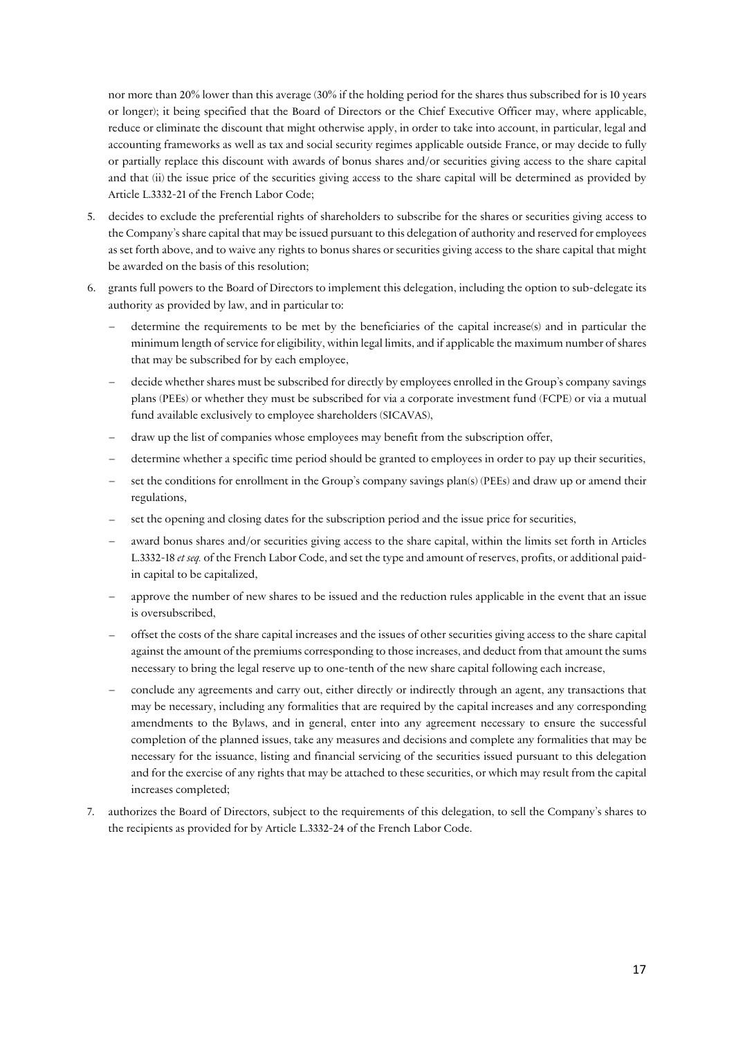reduce or eliminate the discount that might otherwise apply, in order to take into account, in particular, legal and or partially replace this discount with awards of bonus shares and/or securities giving access to the share capital and that (ii) the issue price of the securities giving access to the share capital will be determined as provided by nor more than 20% lower than this average (30% if the holding period for the shares thus subscribed for is 10 years or longer); it being specified that the Board of Directors or the Chief Executive Officer may, where applicable, accounting frameworks as well as tax and social security regimes applicable outside France, or may decide to fully Article L.3332-21 of the French Labor Code;

- 5. decides to exclude the preferential rights of shareholders to subscribe for the shares or securities giving access to the Company's share capital that may be issued pursuant to this delegation of authority and reserved for employees as set forth above, and to waive any rights to bonus shares or securities giving access to the share capital that might be awarded on the basis of this resolution;
- 6. grants full powers to the Board of Directors to implement this delegation, including the option to sub-delegate its authority as provided by law, and in particular to:
	- that may be subscribed for by each employee, determine the requirements to be met by the beneficiaries of the capital increase(s) and in particular the minimum length of service for eligibility, within legal limits, and if applicable the maximum number of shares
	- plans (PEEs) or whether they must be subscribed for via a corporate investment fund (FCPE) or via a mutual decide whether shares must be subscribed for directly by employees enrolled in the Group's company savings fund available exclusively to employee shareholders (SICAVAS),
	- draw up the list of companies whose employees may benefit from the subscription offer,
	- determine whether a specific time period should be granted to employees in order to pay up their securities,
	- set the conditions for enrollment in the Group's company savings plan(s) (PEEs) and draw up or amend their regulations,
	- set the opening and closing dates for the subscription period and the issue price for securities,
	- award bonus shares and/or securities giving access to the share capital, within the limits set forth in Articles L.3332-18 *et seq.* of the French Labor Code, and set the type and amount of reserves, profits, or additional paidin capital to be capitalized,
	- approve the number of new shares to be issued and the reduction rules applicable in the event that an issue is oversubscribed,
	- offset the costs of the share capital increases and the issues of other securities giving access to the share capital against the amount of the premiums corresponding to those increases, and deduct from that amount the sums necessary to bring the legal reserve up to one-tenth of the new share capital following each increase,
	- conclude any agreements and carry out, either directly or indirectly through an agent, any transactions that completion of the planned issues, take any measures and decisions and complete any formalities that may be necessary for the issuance, listing and financial servicing of the securities issued pursuant to this delegation and for the exercise of any rights that may be attached to these securities, or which may result from the capital may be necessary, including any formalities that are required by the capital increases and any corresponding amendments to the Bylaws, and in general, enter into any agreement necessary to ensure the successful increases completed;
- 7. authorizes the Board of Directors, subject to the requirements of this delegation, to sell the Company's shares to the recipients as provided for by Article L.3332-24 of the French Labor Code.